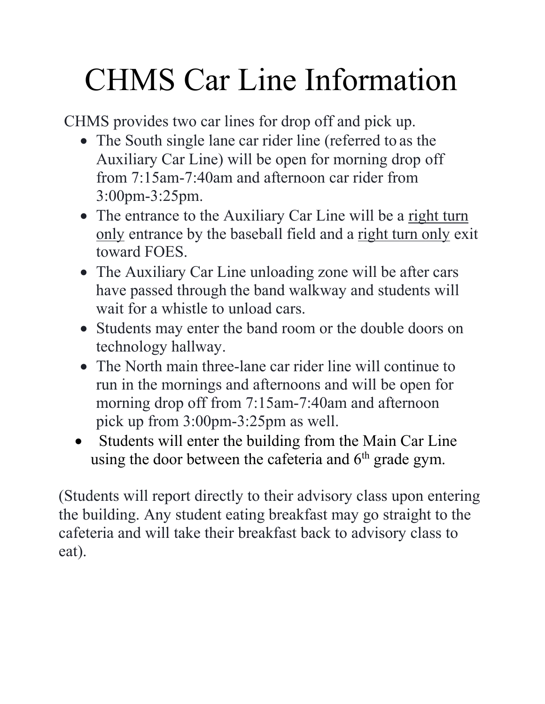## CHMS Car Line Information

CHMS provides two car lines for drop off and pick up.

- The South single lane car rider line (referred to as the Auxiliary Car Line) will be open for morning drop off from 7:15am-7:40am and afternoon car rider from 3:00pm-3:25pm.
- The entrance to the Auxiliary Car Line will be a right turn only entrance by the baseball field and a right turn only exit toward FOES.
- The Auxiliary Car Line unloading zone will be after cars have passed through the band walkway and students will wait for a whistle to unload cars.
- Students may enter the band room or the double doors on technology hallway.
- The North main three-lane car rider line will continue to run in the mornings and afternoons and will be open for morning drop off from 7:15am-7:40am and afternoon pick up from 3:00pm-3:25pm as well.
- Students will enter the building from the Main Car Line using the door between the cafeteria and  $6<sup>th</sup>$  grade gym.

(Students will report directly to their advisory class upon entering the building. Any student eating breakfast may go straight to the cafeteria and will take their breakfast back to advisory class to eat).